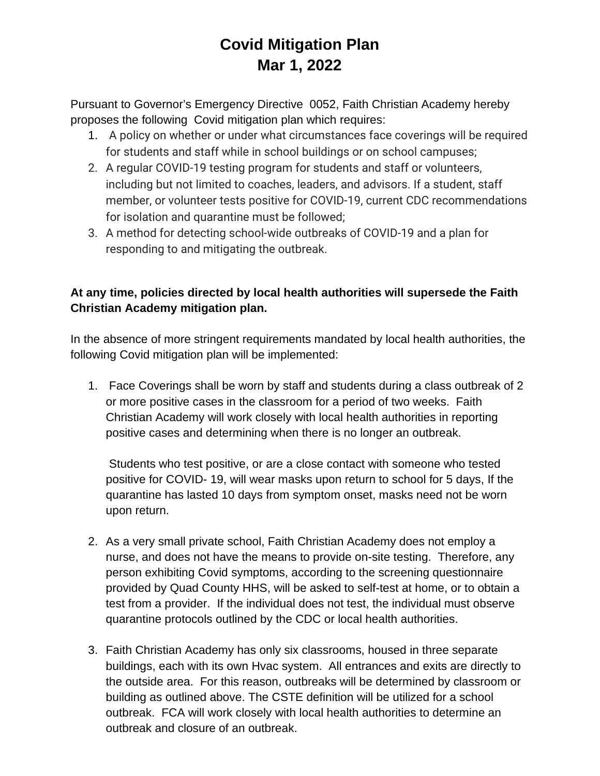## **Covid Mitigation Plan Mar 1, 2022**

Pursuant to Governor's Emergency Directive 0052, Faith Christian Academy hereby proposes the following Covid mitigation plan which requires:

- 1. A policy on whether or under what circumstances face coverings will be required for students and staff while in school buildings or on school campuses;
- 2. A regular COVID-19 testing program for students and staff or volunteers, including but not limited to coaches, leaders, and advisors. If a student, staff member, or volunteer tests positive for COVID-19, current CDC recommendations for isolation and quarantine must be followed;
- 3. A method for detecting school-wide outbreaks of COVID-19 and a plan for responding to and mitigating the outbreak.

## **At any time, policies directed by local health authorities will supersede the Faith Christian Academy mitigation plan.**

In the absence of more stringent requirements mandated by local health authorities, the following Covid mitigation plan will be implemented:

1. Face Coverings shall be worn by staff and students during a class outbreak of 2 or more positive cases in the classroom for a period of two weeks. Faith Christian Academy will work closely with local health authorities in reporting positive cases and determining when there is no longer an outbreak.

Students who test positive, or are a close contact with someone who tested positive for COVID- 19, will wear masks upon return to school for 5 days, If the quarantine has lasted 10 days from symptom onset, masks need not be worn upon return.

- 2. As a very small private school, Faith Christian Academy does not employ a nurse, and does not have the means to provide on-site testing. Therefore, any person exhibiting Covid symptoms, according to the screening questionnaire provided by Quad County HHS, will be asked to self-test at home, or to obtain a test from a provider. If the individual does not test, the individual must observe quarantine protocols outlined by the CDC or local health authorities.
- 3. Faith Christian Academy has only six classrooms, housed in three separate buildings, each with its own Hvac system. All entrances and exits are directly to the outside area. For this reason, outbreaks will be determined by classroom or building as outlined above. The CSTE definition will be utilized for a school outbreak. FCA will work closely with local health authorities to determine an outbreak and closure of an outbreak.